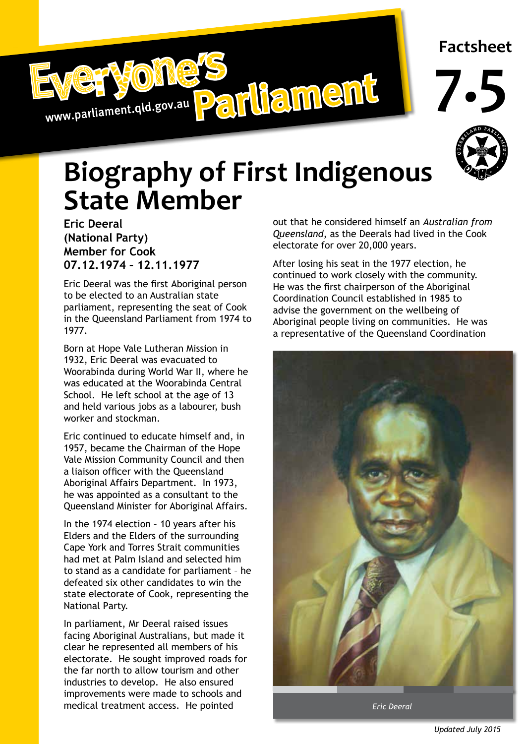



**7.5**



## **Biography of First Indigenous State Member**

**Eric Deeral (National Party) Member for Cook 07.12.1974 – 12.11.1977**

Eric Deeral was the first Aboriginal person to be elected to an Australian state parliament, representing the seat of Cook in the Queensland Parliament from 1974 to 1977.

Born at Hope Vale Lutheran Mission in 1932, Eric Deeral was evacuated to Woorabinda during World War II, where he was educated at the Woorabinda Central School. He left school at the age of 13 and held various jobs as a labourer, bush worker and stockman.

Eric continued to educate himself and, in 1957, became the Chairman of the Hope Vale Mission Community Council and then a liaison officer with the Queensland Aboriginal Affairs Department. In 1973, he was appointed as a consultant to the Queensland Minister for Aboriginal Affairs.

In the 1974 election – 10 years after his Elders and the Elders of the surrounding Cape York and Torres Strait communities had met at Palm Island and selected him to stand as a candidate for parliament – he defeated six other candidates to win the state electorate of Cook, representing the National Party.

In parliament, Mr Deeral raised issues facing Aboriginal Australians, but made it clear he represented all members of his electorate. He sought improved roads for the far north to allow tourism and other industries to develop. He also ensured improvements were made to schools and medical treatment access. He pointed

out that he considered himself an *Australian from Queensland*, as the Deerals had lived in the Cook electorate for over 20,000 years.

After losing his seat in the 1977 election, he continued to work closely with the community. He was the first chairperson of the Aboriginal Coordination Council established in 1985 to advise the government on the wellbeing of Aboriginal people living on communities. He was a representative of the Queensland Coordination



*Eric Deeral*